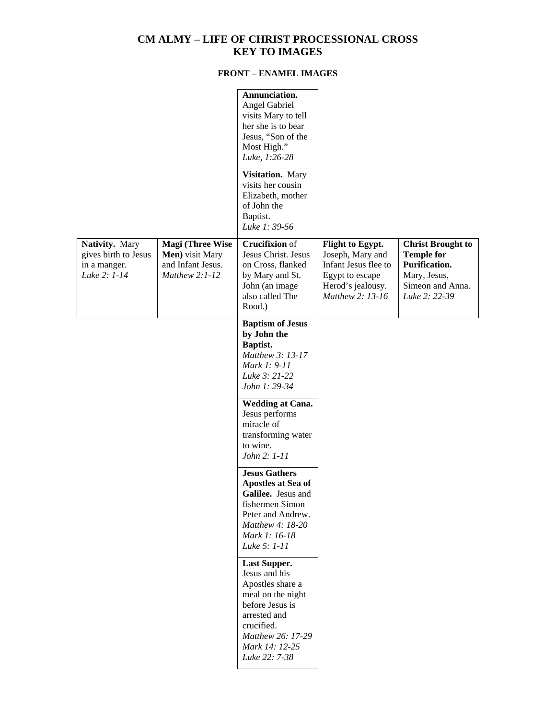## **CM ALMY – LIFE OF CHRIST PROCESSIONAL CROSS KEY TO IMAGES**

## **FRONT – ENAMEL IMAGES**

|                                                                        |                                                                                     | Annunciation.<br>Angel Gabriel<br>visits Mary to tell<br>her she is to bear<br>Jesus, "Son of the<br>Most High."<br>Luke, 1:26-28                                                      |                                                                                                                          |                                                                                                                            |
|------------------------------------------------------------------------|-------------------------------------------------------------------------------------|----------------------------------------------------------------------------------------------------------------------------------------------------------------------------------------|--------------------------------------------------------------------------------------------------------------------------|----------------------------------------------------------------------------------------------------------------------------|
|                                                                        |                                                                                     | Visitation. Mary<br>visits her cousin<br>Elizabeth, mother<br>of John the<br>Baptist.<br>Luke 1: 39-56                                                                                 |                                                                                                                          |                                                                                                                            |
| Nativity. Mary<br>gives birth to Jesus<br>in a manger.<br>Luke 2: 1-14 | <b>Magi (Three Wise</b><br>Men) visit Mary<br>and Infant Jesus.<br>Matthew $2:1-12$ | <b>Crucifixion</b> of<br>Jesus Christ. Jesus<br>on Cross, flanked<br>by Mary and St.<br>John (an image<br>also called The<br>Rood.)                                                    | Flight to Egypt.<br>Joseph, Mary and<br>Infant Jesus flee to<br>Egypt to escape<br>Herod's jealousy.<br>Matthew 2: 13-16 | <b>Christ Brought to</b><br><b>Temple for</b><br><b>Purification.</b><br>Mary, Jesus,<br>Simeon and Anna.<br>Luke 2: 22-39 |
|                                                                        |                                                                                     | <b>Baptism of Jesus</b><br>by John the<br>Baptist.<br>Matthew 3: 13-17<br>Mark 1: 9-11<br>Luke 3: 21-22<br>John 1: 29-34                                                               |                                                                                                                          |                                                                                                                            |
|                                                                        |                                                                                     | <b>Wedding at Cana.</b><br>Jesus performs<br>miracle of<br>transforming water<br>to wine.<br>John 2: 1-11                                                                              |                                                                                                                          |                                                                                                                            |
|                                                                        |                                                                                     | <b>Jesus Gathers</b><br>Apostles at Sea of<br>Galilee. Jesus and<br>fishermen Simon<br>Peter and Andrew.<br>Matthew 4: 18-20<br>Mark 1: 16-18<br>Luke 5: 1-11                          |                                                                                                                          |                                                                                                                            |
|                                                                        |                                                                                     | <b>Last Supper.</b><br>Jesus and his<br>Apostles share a<br>meal on the night<br>before Jesus is<br>arrested and<br>crucified.<br>Matthew 26: 17-29<br>Mark 14: 12-25<br>Luke 22: 7-38 |                                                                                                                          |                                                                                                                            |